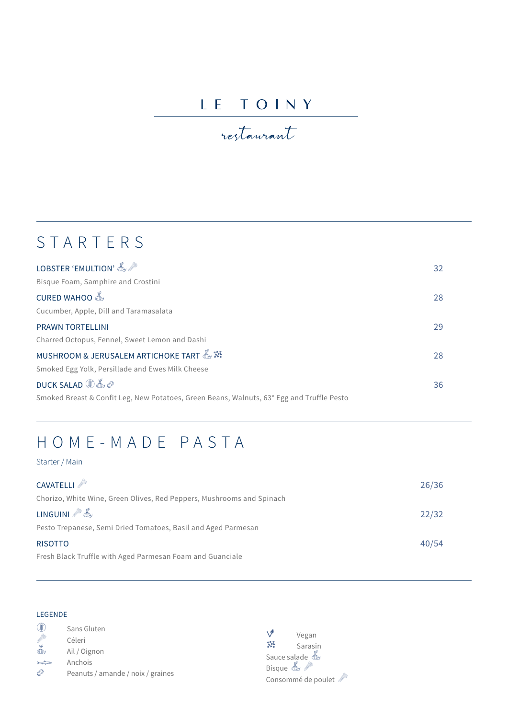### LE TOINY

## restaurant

# STARTERS

| LOBSTER 'EMULTION' $\mathbb{Z}^{\mathscr{P}}$                                             | 32 |
|-------------------------------------------------------------------------------------------|----|
| Bisque Foam, Samphire and Crostini                                                        |    |
|                                                                                           | 28 |
| Cucumber, Apple, Dill and Taramasalata                                                    |    |
| <b>PRAWN TORTELLINI</b>                                                                   | 29 |
| Charred Octopus, Fennel, Sweet Lemon and Dashi                                            |    |
|                                                                                           | 28 |
| Smoked Egg Yolk, Persillade and Ewes Milk Cheese                                          |    |
| $DUCK SALAD \circledast \mathbb{Z} \oslash$                                               | 36 |
| Smoked Breast & Confit Leg, New Potatoes, Green Beans, Walnuts, 63° Egg and Truffle Pesto |    |

### HOME-MADE PASTA

#### Starter / Main

| CAVATELLI                                                                  | 26/36 |
|----------------------------------------------------------------------------|-------|
| Chorizo, White Wine, Green Olives, Red Peppers, Mushrooms and Spinach      |       |
| $LINGUINI \n\mathscr{F} \& \n\begin{bmatrix} 1 & 0 \\ 0 & 0 \end{bmatrix}$ | 22/32 |
| Pesto Trepanese, Semi Dried Tomatoes, Basil and Aged Parmesan              |       |
| <b>RISOTTO</b>                                                             | 40/54 |
| Fresh Black Truffle with Aged Parmesan Foam and Guanciale                  |       |

#### LEGENDE

|        | Sans Gluten                       |
|--------|-----------------------------------|
|        | Céleri                            |
|        | Ail / Oignon                      |
| $\sim$ | Anchois                           |
|        | Peanuts / amande / noix / graines |

Vegan<br>
<del>X</del> Sarasi Sarasin Sauce salade A Bisque  $\mathbb{Z}$ Consommé de poulet $\mathbb{Z}^{\mathbb{Z}}$